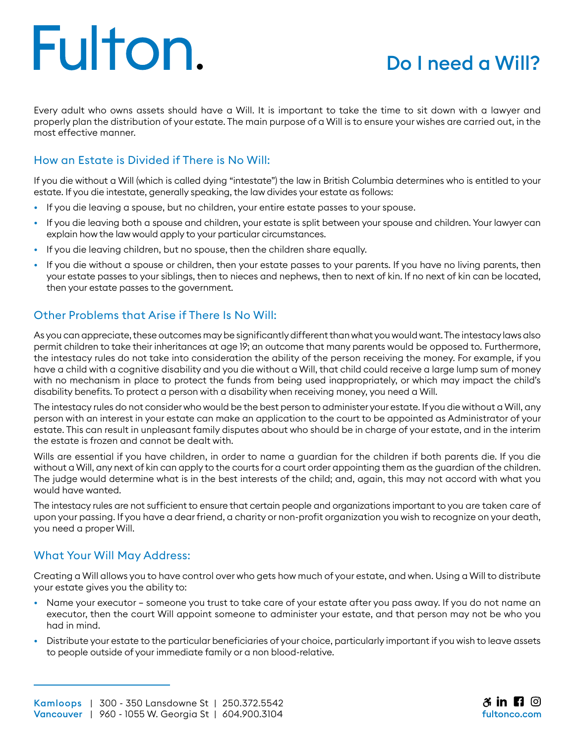# Fulton.

# Do I need a Will?

Every adult who owns assets should have a Will. It is important to take the time to sit down with a lawyer and properly plan the distribution of your estate. The main purpose of a Will is to ensure your wishes are carried out, in the most effective manner.

## How an Estate is Divided if There is No Will:

If you die without a Will (which is called dying "intestate") the law in British Columbia determines who is entitled to your estate. If you die intestate, generally speaking, the law divides your estate as follows:

- If you die leaving a spouse, but no children, your entire estate passes to your spouse.
- If you die leaving both a spouse and children, your estate is split between your spouse and children. Your lawyer can explain how the law would apply to your particular circumstances.
- If you die leaving children, but no spouse, then the children share equally.
- If you die without a spouse or children, then your estate passes to your parents. If you have no living parents, then your estate passes to your siblings, then to nieces and nephews, then to next of kin. If no next of kin can be located, then your estate passes to the government.

## Other Problems that Arise if There Is No Will:

As you can appreciate, these outcomes may be significantly different than what you would want. The intestacy laws also permit children to take their inheritances at age 19; an outcome that many parents would be opposed to. Furthermore, the intestacy rules do not take into consideration the ability of the person receiving the money. For example, if you have a child with a cognitive disability and you die without a Will, that child could receive a large lump sum of money with no mechanism in place to protect the funds from being used inappropriately, or which may impact the child's disability benefits. To protect a person with a disability when receiving money, you need a Will.

The intestacy rules do not consider who would be the best person to administer your estate. If you die without a Will, any person with an interest in your estate can make an application to the court to be appointed as Administrator of your estate. This can result in unpleasant family disputes about who should be in charge of your estate, and in the interim the estate is frozen and cannot be dealt with.

Wills are essential if you have children, in order to name a guardian for the children if both parents die. If you die without a Will, any next of kin can apply to the courts for a court order appointing them as the guardian of the children. The judge would determine what is in the best interests of the child; and, again, this may not accord with what you would have wanted.

The intestacy rules are not sufficient to ensure that certain people and organizations important to you are taken care of upon your passing. If you have a dear friend, a charity or non-profit organization you wish to recognize on your death, you need a proper Will.

#### What Your Will May Address:

Creating a Will allows you to have control over who gets how much of your estate, and when. Using a Will to distribute your estate gives you the ability to:

- Name your executor someone you trust to take care of your estate after you pass away. If you do not name an executor, then the court Will appoint someone to administer your estate, and that person may not be who you had in mind.
- Distribute your estate to the particular beneficiaries of your choice, particularly important if you wish to leave assets to people outside of your immediate family or a non blood-relative.